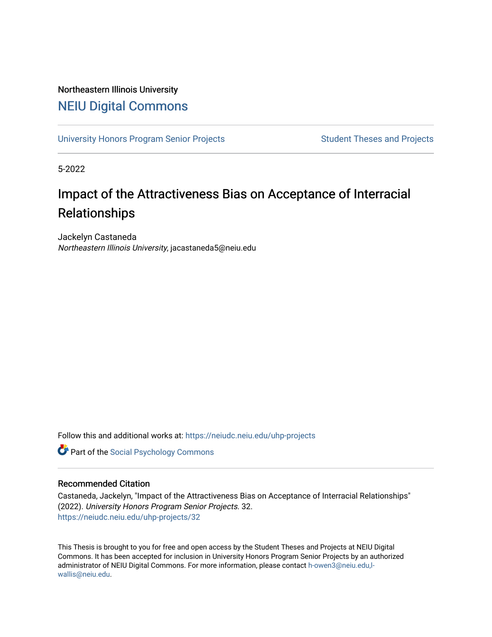## Northeastern Illinois University [NEIU Digital Commons](https://neiudc.neiu.edu/)

[University Honors Program Senior Projects](https://neiudc.neiu.edu/uhp-projects) Student Theses and Projects

5-2022

# Impact of the Attractiveness Bias on Acceptance of Interracial Relationships

Jackelyn Castaneda Northeastern Illinois University, jacastaneda5@neiu.edu

Follow this and additional works at: [https://neiudc.neiu.edu/uhp-projects](https://neiudc.neiu.edu/uhp-projects?utm_source=neiudc.neiu.edu%2Fuhp-projects%2F32&utm_medium=PDF&utm_campaign=PDFCoverPages) 

**Part of the Social Psychology Commons** 

#### Recommended Citation

Castaneda, Jackelyn, "Impact of the Attractiveness Bias on Acceptance of Interracial Relationships" (2022). University Honors Program Senior Projects. 32. [https://neiudc.neiu.edu/uhp-projects/32](https://neiudc.neiu.edu/uhp-projects/32?utm_source=neiudc.neiu.edu%2Fuhp-projects%2F32&utm_medium=PDF&utm_campaign=PDFCoverPages)

This Thesis is brought to you for free and open access by the Student Theses and Projects at NEIU Digital Commons. It has been accepted for inclusion in University Honors Program Senior Projects by an authorized administrator of NEIU Digital Commons. For more information, please contact [h-owen3@neiu.edu,l](mailto:h-owen3@neiu.edu,l-wallis@neiu.edu)[wallis@neiu.edu.](mailto:h-owen3@neiu.edu,l-wallis@neiu.edu)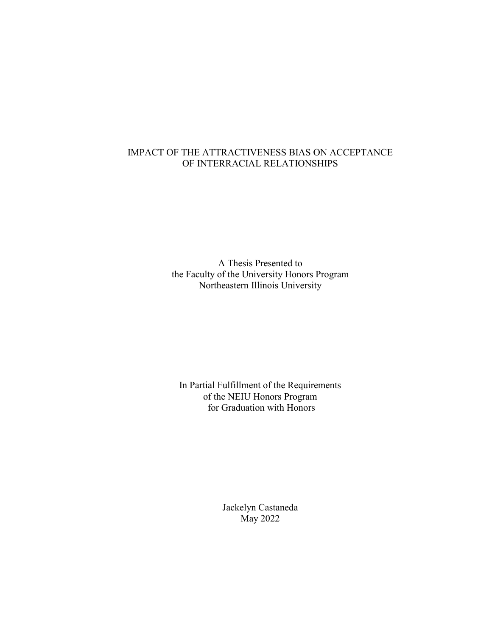### IMPACT OF THE ATTRACTIVENESS BIAS ON ACCEPTANCE OF INTERRACIAL RELATIONSHIPS

A Thesis Presented to the Faculty of the University Honors Program Northeastern Illinois University

In Partial Fulfillment of the Requirements of the NEIU Honors Program for Graduation with Honors

> Jackelyn Castaneda May 2022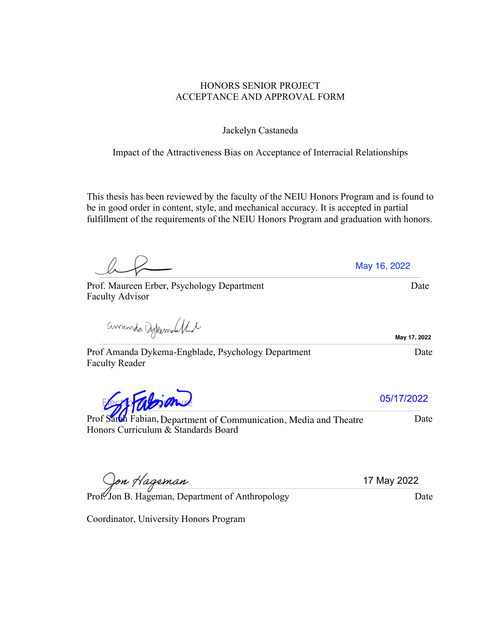### HONORS SENIOR PROJECT ACCEPTANCE AND APPROVAL FORM

Jackelyn Castaneda

Impact of the Attractiveness Bias on Acceptance of Interracial Relationships

This thesis has been reviewed by the faculty of the NEIU Honors Program and is found to be in good order in content, style, and mechanical accuracy. It is accepted in partial fulfillment of the requirements of the NEIU Honors Program and graduation with honors.

Prof Amanda Dykema-Engblade, Psychology Department Date Faculty Reader

Falsian

Prof Sarbh Fabian, Department of Communication, Media and Theatre Date Honors Curriculum & Standards Board

Coordinator, University Honors Program

Prof. Jon B. Hageman, Department of Anthropology Date

amanda Dykemolikal

Faculty Advisor

05/17/2022

17 May 2022

Prof. Maureen Erber, Psychology Department Date May 16, 2022

**May 17, 2022**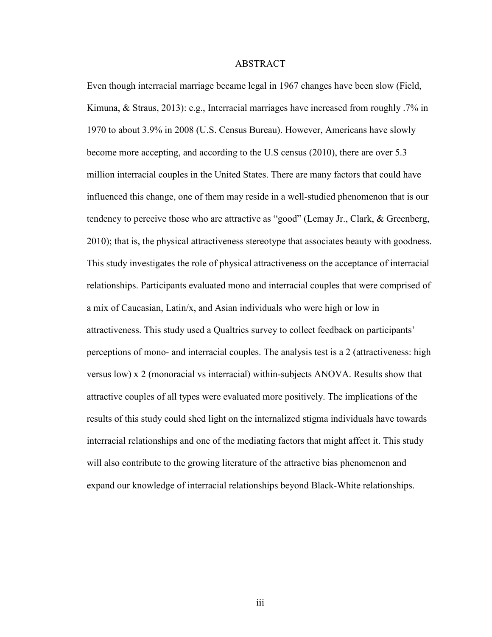#### ABSTRACT

Even though interracial marriage became legal in 1967 changes have been slow (Field, Kimuna, & Straus, 2013): e.g., Interracial marriages have increased from roughly .7% in 1970 to about 3.9% in 2008 (U.S. Census Bureau). However, Americans have slowly become more accepting, and according to the U.S census (2010), there are over 5.3 million interracial couples in the United States. There are many factors that could have influenced this change, one of them may reside in a well-studied phenomenon that is our tendency to perceive those who are attractive as "good" (Lemay Jr., Clark, & Greenberg, 2010); that is, the physical attractiveness stereotype that associates beauty with goodness. This study investigates the role of physical attractiveness on the acceptance of interracial relationships. Participants evaluated mono and interracial couples that were comprised of a mix of Caucasian, Latin/x, and Asian individuals who were high or low in attractiveness. This study used a Qualtrics survey to collect feedback on participants' perceptions of mono- and interracial couples. The analysis test is a 2 (attractiveness: high versus low) x 2 (monoracial vs interracial) within-subjects ANOVA. Results show that attractive couples of all types were evaluated more positively. The implications of the results of this study could shed light on the internalized stigma individuals have towards interracial relationships and one of the mediating factors that might affect it. This study will also contribute to the growing literature of the attractive bias phenomenon and expand our knowledge of interracial relationships beyond Black-White relationships.

iii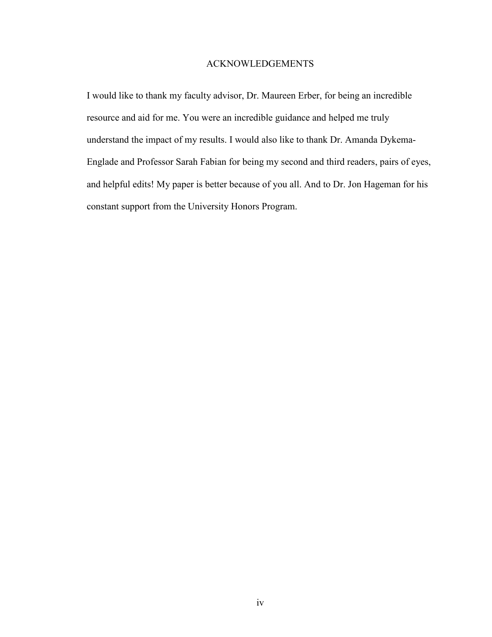#### ACKNOWLEDGEMENTS

I would like to thank my faculty advisor, Dr. Maureen Erber, for being an incredible resource and aid for me. You were an incredible guidance and helped me truly understand the impact of my results. I would also like to thank Dr. Amanda Dykema-Englade and Professor Sarah Fabian for being my second and third readers, pairs of eyes, and helpful edits! My paper is better because of you all. And to Dr. Jon Hageman for his constant support from the University Honors Program.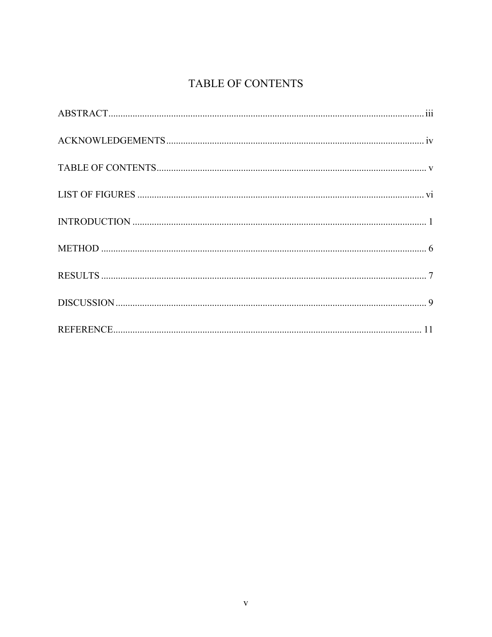## TABLE OF CONTENTS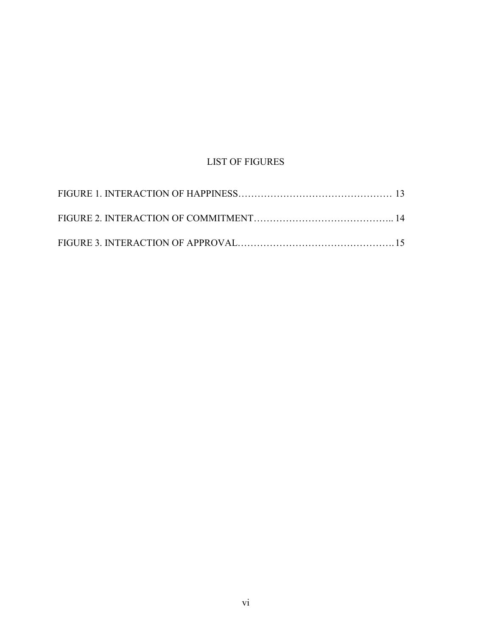## LIST OF FIGURES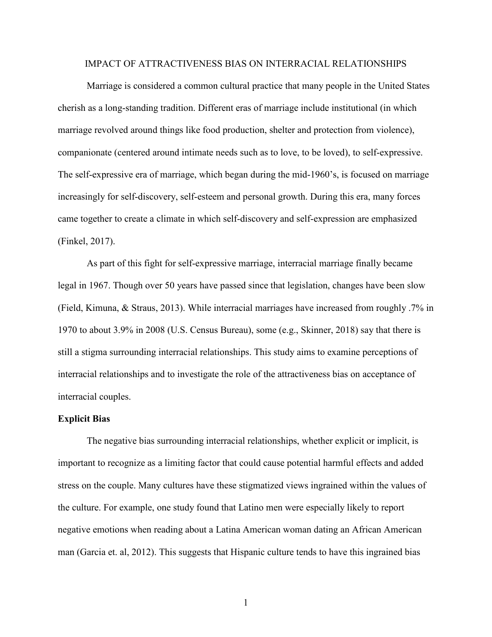#### IMPACT OF ATTRACTIVENESS BIAS ON INTERRACIAL RELATIONSHIPS

Marriage is considered a common cultural practice that many people in the United States cherish as a long-standing tradition. Different eras of marriage include institutional (in which marriage revolved around things like food production, shelter and protection from violence), companionate (centered around intimate needs such as to love, to be loved), to self-expressive. The self-expressive era of marriage, which began during the mid-1960's, is focused on marriage increasingly for self-discovery, self-esteem and personal growth. During this era, many forces came together to create a climate in which self-discovery and self-expression are emphasized (Finkel, 2017).

As part of this fight for self-expressive marriage, interracial marriage finally became legal in 1967. Though over 50 years have passed since that legislation, changes have been slow (Field, Kimuna, & Straus, 2013). While interracial marriages have increased from roughly .7% in 1970 to about 3.9% in 2008 (U.S. Census Bureau), some (e.g., Skinner, 2018) say that there is still a stigma surrounding interracial relationships. This study aims to examine perceptions of interracial relationships and to investigate the role of the attractiveness bias on acceptance of interracial couples.

#### **Explicit Bias**

The negative bias surrounding interracial relationships, whether explicit or implicit, is important to recognize as a limiting factor that could cause potential harmful effects and added stress on the couple. Many cultures have these stigmatized views ingrained within the values of the culture. For example, one study found that Latino men were especially likely to report negative emotions when reading about a Latina American woman dating an African American man (Garcia et. al, 2012). This suggests that Hispanic culture tends to have this ingrained bias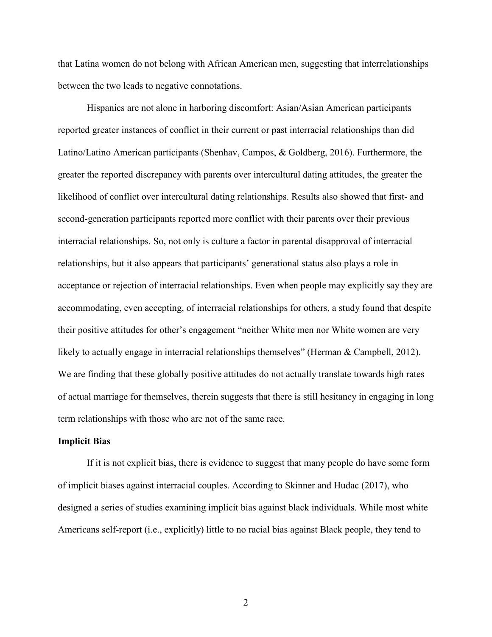that Latina women do not belong with African American men, suggesting that interrelationships between the two leads to negative connotations.

Hispanics are not alone in harboring discomfort: Asian/Asian American participants reported greater instances of conflict in their current or past interracial relationships than did Latino/Latino American participants (Shenhav, Campos, & Goldberg, 2016). Furthermore, the greater the reported discrepancy with parents over intercultural dating attitudes, the greater the likelihood of conflict over intercultural dating relationships. Results also showed that first- and second-generation participants reported more conflict with their parents over their previous interracial relationships. So, not only is culture a factor in parental disapproval of interracial relationships, but it also appears that participants' generational status also plays a role in acceptance or rejection of interracial relationships. Even when people may explicitly say they are accommodating, even accepting, of interracial relationships for others, a study found that despite their positive attitudes for other's engagement "neither White men nor White women are very likely to actually engage in interracial relationships themselves" (Herman & Campbell, 2012). We are finding that these globally positive attitudes do not actually translate towards high rates of actual marriage for themselves, therein suggests that there is still hesitancy in engaging in long term relationships with those who are not of the same race.

#### **Implicit Bias**

If it is not explicit bias, there is evidence to suggest that many people do have some form of implicit biases against interracial couples. According to Skinner and Hudac (2017), who designed a series of studies examining implicit bias against black individuals. While most white Americans self-report (i.e., explicitly) little to no racial bias against Black people, they tend to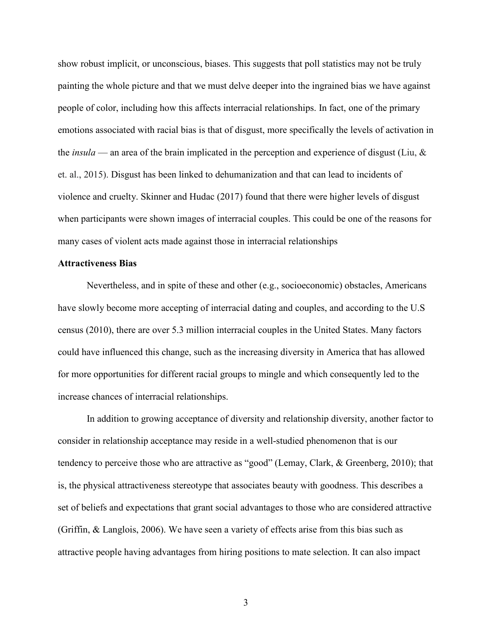show robust implicit, or unconscious, biases. This suggests that poll statistics may not be truly painting the whole picture and that we must delve deeper into the ingrained bias we have against people of color, including how this affects interracial relationships. In fact, one of the primary emotions associated with racial bias is that of disgust, more specifically the levels of activation in the *[insula](https://en.wikipedia.org/wiki/Insular_cortex#Social_emotions)* — an area of the brain implicated in the perception and experience of disgust (Liu, & et. al., 2015). Disgust has been linked to dehumanization and that can lead to incidents of violence and cruelty. Skinner and Hudac (2017) found that there were higher levels of disgust when participants were shown images of interracial couples. This could be one of the reasons for many cases of violent acts made against those in interracial relationships

#### **Attractiveness Bias**

Nevertheless, and in spite of these and other (e.g., socioeconomic) obstacles, Americans have slowly become more accepting of interracial dating and couples, and according to the U.S census (2010), there are over 5.3 million interracial couples in the United States. Many factors could have influenced this change, such as the increasing diversity in America that has allowed for more opportunities for different racial groups to mingle and which consequently led to the increase chances of interracial relationships.

In addition to growing acceptance of diversity and relationship diversity, another factor to consider in relationship acceptance may reside in a well-studied phenomenon that is our tendency to perceive those who are attractive as "good" (Lemay, Clark, & Greenberg, 2010); that is, the physical attractiveness stereotype that associates beauty with goodness. This describes a set of beliefs and expectations that grant social advantages to those who are considered attractive (Griffin, & Langlois, 2006). We have seen a variety of effects arise from this bias such as attractive people having advantages from hiring positions to mate selection. It can also impact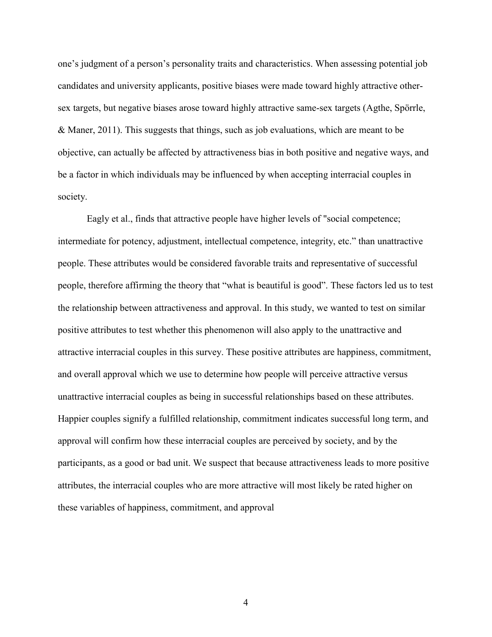one's judgment of a person's personality traits and characteristics. When assessing potential job candidates and university applicants, positive biases were made toward highly attractive othersex targets, but negative biases arose toward highly attractive same-sex targets (Agthe, Spörrle, & Maner, 2011). This suggests that things, such as job evaluations, which are meant to be objective, can actually be affected by attractiveness bias in both positive and negative ways, and be a factor in which individuals may be influenced by when accepting interracial couples in society.

Eagly et al., finds that attractive people have higher levels of "social competence; intermediate for potency, adjustment, intellectual competence, integrity, etc." than unattractive people. These attributes would be considered favorable traits and representative of successful people, therefore affirming the theory that "what is beautiful is good". These factors led us to test the relationship between attractiveness and approval. In this study, we wanted to test on similar positive attributes to test whether this phenomenon will also apply to the unattractive and attractive interracial couples in this survey. These positive attributes are happiness, commitment, and overall approval which we use to determine how people will perceive attractive versus unattractive interracial couples as being in successful relationships based on these attributes. Happier couples signify a fulfilled relationship, commitment indicates successful long term, and approval will confirm how these interracial couples are perceived by society, and by the participants, as a good or bad unit. We suspect that because attractiveness leads to more positive attributes, the interracial couples who are more attractive will most likely be rated higher on these variables of happiness, commitment, and approval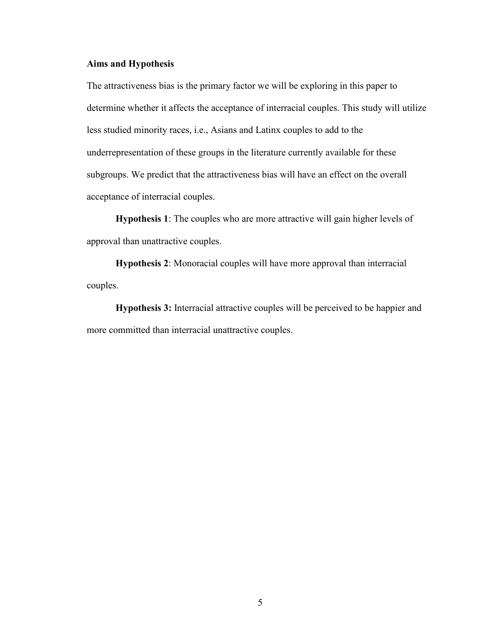#### **Aims and Hypothesis**

The attractiveness bias is the primary factor we will be exploring in this paper to determine whether it affects the acceptance of interracial couples. This study will utilize less studied minority races, i.e., Asians and Latinx couples to add to the underrepresentation of these groups in the literature currently available for these subgroups. We predict that the attractiveness bias will have an effect on the overall acceptance of interracial couples.

**Hypothesis 1**: The couples who are more attractive will gain higher levels of approval than unattractive couples.

**Hypothesis 2**: Monoracial couples will have more approval than interracial couples.

**Hypothesis 3:** Interracial attractive couples will be perceived to be happier and more committed than interracial unattractive couples.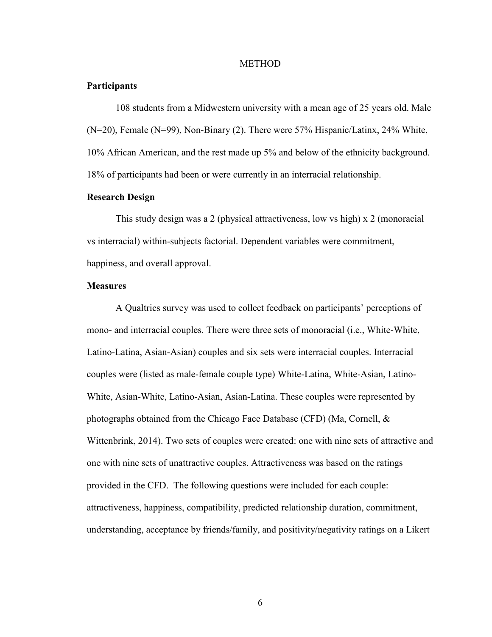#### METHOD

#### **Participants**

108 students from a Midwestern university with a mean age of 25 years old. Male (N=20), Female (N=99), Non-Binary (2). There were 57% Hispanic/Latinx, 24% White, 10% African American, and the rest made up 5% and below of the ethnicity background. 18% of participants had been or were currently in an interracial relationship.

#### **Research Design**

This study design was a 2 (physical attractiveness, low vs high) x 2 (monoracial vs interracial) within-subjects factorial. Dependent variables were commitment, happiness, and overall approval.

#### **Measures**

A Qualtrics survey was used to collect feedback on participants' perceptions of mono- and interracial couples. There were three sets of monoracial (i.e., White-White, Latino-Latina, Asian-Asian) couples and six sets were interracial couples. Interracial couples were (listed as male-female couple type) White-Latina, White-Asian, Latino-White, Asian-White, Latino-Asian, Asian-Latina. These couples were represented by photographs obtained from the Chicago Face Database (CFD) (Ma, Cornell, & Wittenbrink, 2014). Two sets of couples were created: one with nine sets of attractive and one with nine sets of unattractive couples. Attractiveness was based on the ratings provided in the CFD. The following questions were included for each couple: attractiveness, happiness, compatibility, predicted relationship duration, commitment, understanding, acceptance by friends/family, and positivity/negativity ratings on a Likert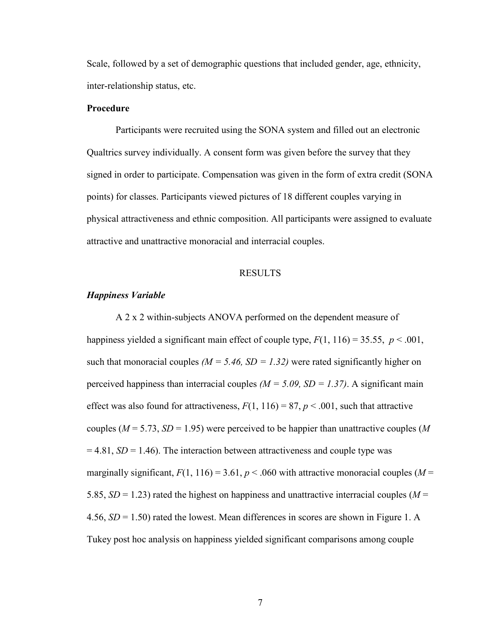Scale, followed by a set of demographic questions that included gender, age, ethnicity, inter-relationship status, etc.

#### **Procedure**

Participants were recruited using the SONA system and filled out an electronic Qualtrics survey individually. A consent form was given before the survey that they signed in order to participate. Compensation was given in the form of extra credit (SONA points) for classes. Participants viewed pictures of 18 different couples varying in physical attractiveness and ethnic composition. All participants were assigned to evaluate attractive and unattractive monoracial and interracial couples.

#### RESULTS

#### *Happiness Variable*

A 2 x 2 within-subjects ANOVA performed on the dependent measure of happiness yielded a significant main effect of couple type,  $F(1, 116) = 35.55$ ,  $p < .001$ , such that monoracial couples  $(M = 5.46, SD = 1.32)$  were rated significantly higher on perceived happiness than interracial couples  $(M = 5.09, SD = 1.37)$ . A significant main effect was also found for attractiveness,  $F(1, 116) = 87$ ,  $p < .001$ , such that attractive couples ( $M = 5.73$ ,  $SD = 1.95$ ) were perceived to be happier than unattractive couples (M)  $= 4.81$ , *SD* = 1.46). The interaction between attractiveness and couple type was marginally significant,  $F(1, 116) = 3.61$ ,  $p < .060$  with attractive monoracial couples (*M* = 5.85,  $SD = 1.23$ ) rated the highest on happiness and unattractive interracial couples ( $M =$ 4.56, *SD* = 1.50) rated the lowest. Mean differences in scores are shown in Figure 1. A Tukey post hoc analysis on happiness yielded significant comparisons among couple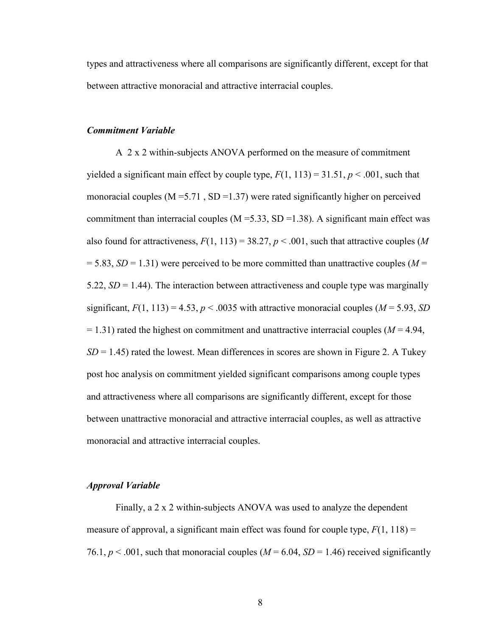types and attractiveness where all comparisons are significantly different, except for that between attractive monoracial and attractive interracial couples.

#### *Commitment Variable*

A 2 x 2 within-subjects ANOVA performed on the measure of commitment yielded a significant main effect by couple type,  $F(1, 113) = 31.51$ ,  $p < .001$ , such that monoracial couples ( $M = 5.71$ ,  $SD = 1.37$ ) were rated significantly higher on perceived commitment than interracial couples ( $M = 5.33$ , SD = 1.38). A significant main effect was also found for attractiveness,  $F(1, 113) = 38.27$ ,  $p < .001$ , such that attractive couples (*M*  $= 5.83, SD = 1.31$ ) were perceived to be more committed than unattractive couples ( $M =$ 5.22,  $SD = 1.44$ ). The interaction between attractiveness and couple type was marginally significant,  $F(1, 113) = 4.53$ ,  $p < .0035$  with attractive monoracial couples ( $M = 5.93$ , SD  $= 1.31$ ) rated the highest on commitment and unattractive interracial couples ( $M = 4.94$ ,  $SD = 1.45$ ) rated the lowest. Mean differences in scores are shown in Figure 2. A Tukey post hoc analysis on commitment yielded significant comparisons among couple types and attractiveness where all comparisons are significantly different, except for those between unattractive monoracial and attractive interracial couples, as well as attractive monoracial and attractive interracial couples.

#### *Approval Variable*

Finally, a 2 x 2 within-subjects ANOVA was used to analyze the dependent measure of approval, a significant main effect was found for couple type,  $F(1, 118) =$ 76.1,  $p < .001$ , such that monoracial couples ( $M = 6.04$ ,  $SD = 1.46$ ) received significantly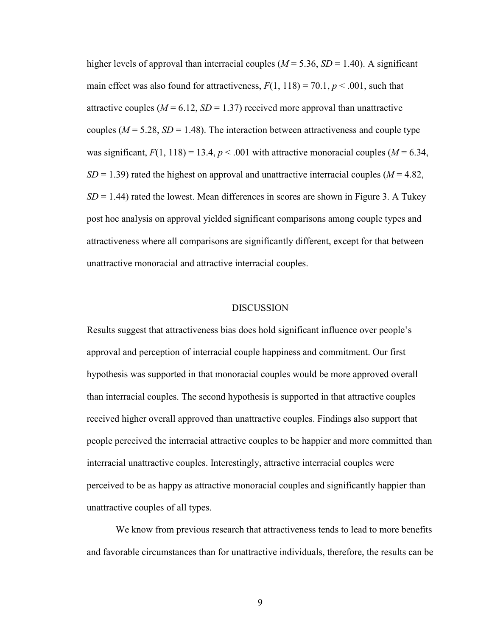higher levels of approval than interracial couples ( $M = 5.36$ ,  $SD = 1.40$ ). A significant main effect was also found for attractiveness,  $F(1, 118) = 70.1$ ,  $p < .001$ , such that attractive couples  $(M = 6.12, SD = 1.37)$  received more approval than unattractive couples ( $M = 5.28$ ,  $SD = 1.48$ ). The interaction between attractiveness and couple type was significant,  $F(1, 118) = 13.4$ ,  $p < .001$  with attractive monoracial couples ( $M = 6.34$ ,  $SD = 1.39$ ) rated the highest on approval and unattractive interracial couples ( $M = 4.82$ ,  $SD = 1.44$ ) rated the lowest. Mean differences in scores are shown in Figure 3. A Tukey post hoc analysis on approval yielded significant comparisons among couple types and attractiveness where all comparisons are significantly different, except for that between unattractive monoracial and attractive interracial couples.

#### **DISCUSSION**

Results suggest that attractiveness bias does hold significant influence over people's approval and perception of interracial couple happiness and commitment. Our first hypothesis was supported in that monoracial couples would be more approved overall than interracial couples. The second hypothesis is supported in that attractive couples received higher overall approved than unattractive couples. Findings also support that people perceived the interracial attractive couples to be happier and more committed than interracial unattractive couples. Interestingly, attractive interracial couples were perceived to be as happy as attractive monoracial couples and significantly happier than unattractive couples of all types.

We know from previous research that attractiveness tends to lead to more benefits and favorable circumstances than for unattractive individuals, therefore, the results can be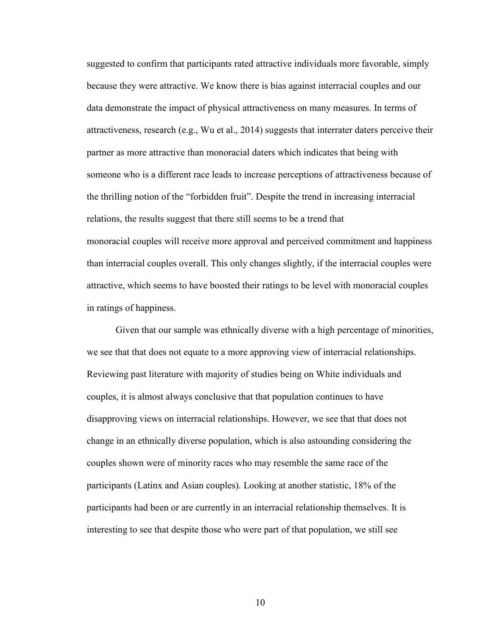suggested to confirm that participants rated attractive individuals more favorable, simply because they were attractive. We know there is bias against interracial couples and our data demonstrate the impact of physical attractiveness on many measures. In terms of attractiveness, research (e.g., Wu et al., 2014) suggests that interrater daters perceive their partner as more attractive than monoracial daters which indicates that being with someone who is a different race leads to increase perceptions of attractiveness because of the thrilling notion of the "forbidden fruit". Despite the trend in increasing interracial relations, the results suggest that there still seems to be a trend that monoracial couples will receive more approval and perceived commitment and happiness than interracial couples overall. This only changes slightly, if the interracial couples were attractive, which seems to have boosted their ratings to be level with monoracial couples in ratings of happiness.

Given that our sample was ethnically diverse with a high percentage of minorities, we see that that does not equate to a more approving view of interracial relationships. Reviewing past literature with majority of studies being on White individuals and couples, it is almost always conclusive that that population continues to have disapproving views on interracial relationships. However, we see that that does not change in an ethnically diverse population, which is also astounding considering the couples shown were of minority races who may resemble the same race of the participants (Latinx and Asian couples). Looking at another statistic, 18% of the participants had been or are currently in an interracial relationship themselves. It is interesting to see that despite those who were part of that population, we still see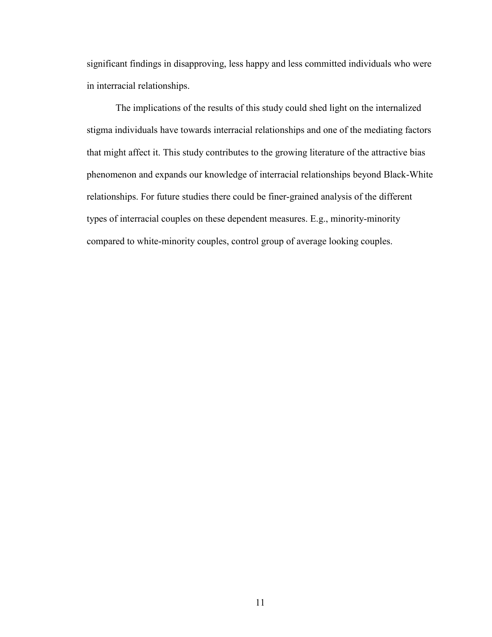significant findings in disapproving, less happy and less committed individuals who were in interracial relationships.

The implications of the results of this study could shed light on the internalized stigma individuals have towards interracial relationships and one of the mediating factors that might affect it. This study contributes to the growing literature of the attractive bias phenomenon and expands our knowledge of interracial relationships beyond Black-White relationships. For future studies there could be finer-grained analysis of the different types of interracial couples on these dependent measures. E.g., minority-minority compared to white-minority couples, control group of average looking couples.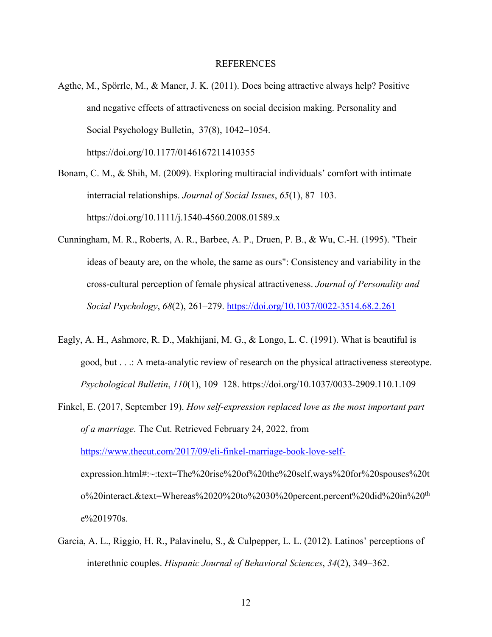#### REFERENCES

- Agthe, M., Spörrle, M., & Maner, J. K. (2011). Does being attractive always help? Positive and negative effects of attractiveness on social decision making. Personality and Social Psychology Bulletin, 37(8), 1042–1054. https://doi.org/10.1177/0146167211410355
- Bonam, C. M., & Shih, M. (2009). Exploring multiracial individuals' comfort with intimate interracial relationships. *Journal of Social Issues*, *65*(1), 87–103. https://doi.org/10.1111/j.1540-4560.2008.01589.x
- Cunningham, M. R., Roberts, A. R., Barbee, A. P., Druen, P. B., & Wu, C.-H. (1995). "Their ideas of beauty are, on the whole, the same as ours": Consistency and variability in the cross-cultural perception of female physical attractiveness. *Journal of Personality and Social Psychology*, *68*(2), 261–279.<https://doi.org/10.1037/0022-3514.68.2.261>
- Eagly, A. H., Ashmore, R. D., Makhijani, M. G., & Longo, L. C. (1991). What is beautiful is good, but . . .: A meta-analytic review of research on the physical attractiveness stereotype. *Psychological Bulletin*, *110*(1), 109–128. https://doi.org/10.1037/0033-2909.110.1.109
- Finkel, E. (2017, September 19). *How self-expression replaced love as the most important part of a marriage*. The Cut. Retrieved February 24, 2022, from [https://www.thecut.com/2017/09/eli-finkel-marriage-book-love-self](https://www.thecut.com/2017/09/eli-finkel-marriage-book-love-self-)expression.html#:~:text=The%20rise%20of%20the%20self,ways%20for%20spouses%20t o%20interact.&text=Whereas%2020%20to%2030%20percent,percent%20did%20in%20th e%201970s.
- Garcia, A. L., Riggio, H. R., Palavinelu, S., & Culpepper, L. L. (2012). Latinos' perceptions of interethnic couples. *Hispanic Journal of Behavioral Sciences*, *34*(2), 349–362.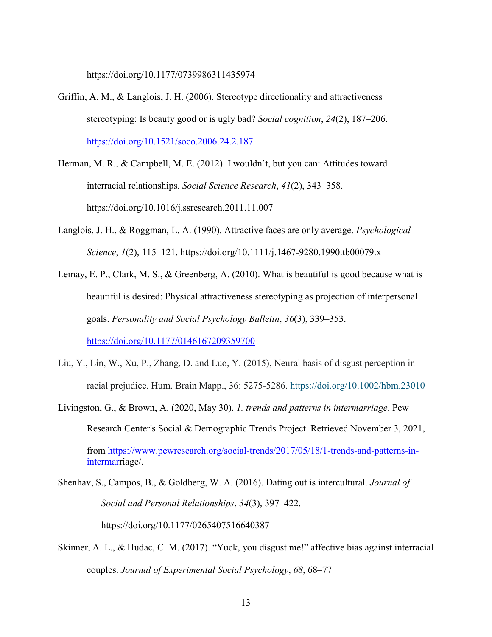https://doi.org/10.1177/0739986311435974

- Griffin, A. M., & Langlois, J. H. (2006). Stereotype directionality and attractiveness stereotyping: Is beauty good or is ugly bad? *Social cognition*, *24*(2), 187–206. <https://doi.org/10.1521/soco.2006.24.2.187>
- Herman, M. R., & Campbell, M. E. (2012). I wouldn't, but you can: Attitudes toward interracial relationships. *Social Science Research*, *41*(2), 343–358. https://doi.org/10.1016/j.ssresearch.2011.11.007
- Langlois, J. H., & Roggman, L. A. (1990). Attractive faces are only average. *Psychological Science*, *1*(2), 115–121. https://doi.org/10.1111/j.1467-9280.1990.tb00079.x
- Lemay, E. P., Clark, M. S., & Greenberg, A. (2010). What is beautiful is good because what is beautiful is desired: Physical attractiveness stereotyping as projection of interpersonal goals. *Personality and Social Psychology Bulletin*, *36*(3), 339–353. <https://doi.org/10.1177/0146167209359700>
- Liu, Y., Lin, W., Xu, P., Zhang, D. and Luo, Y. (2015), Neural basis of disgust perception in racial prejudice. Hum. Brain Mapp., 36: 5275-5286. <https://doi.org/10.1002/hbm.23010>
- Livingston, G., & Brown, A. (2020, May 30). *1. trends and patterns in intermarriage*. Pew Research Center's Social & Demographic Trends Project. Retrieved November 3, 2021, from [https://www.pewresearch.org/social-trends/2017/05/18/1-trends-and-patterns-in](https://www.pewresearch.org/social-trends/2017/05/18/1-trends-and-patterns-in-intermar)[intermarr](https://www.pewresearch.org/social-trends/2017/05/18/1-trends-and-patterns-in-intermar)iage/.
- Shenhav, S., Campos, B., & Goldberg, W. A. (2016). Dating out is intercultural. *Journal of Social and Personal Relationships*, *34*(3), 397–422.

https://doi.org/10.1177/0265407516640387

Skinner, A. L., & Hudac, C. M. (2017). "Yuck, you disgust me!" affective bias against interracial couples. *Journal of Experimental Social Psychology*, *68*, 68–77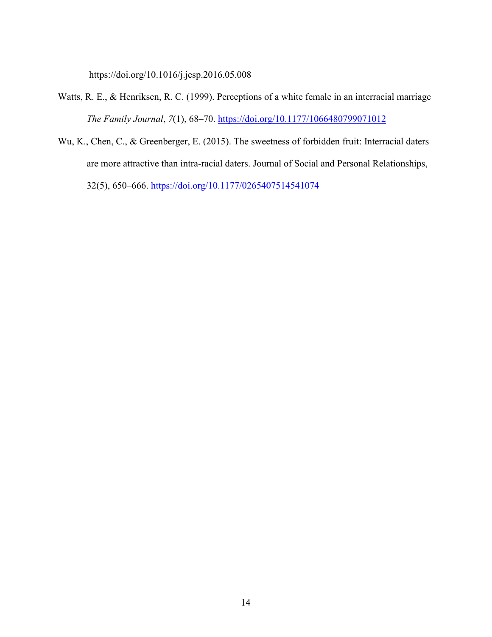https://doi.org/10.1016/j.jesp.2016.05.008

- Watts, R. E., & Henriksen, R. C. (1999). Perceptions of a white female in an interracial marriage *The Family Journal*, *7*(1), 68–70.<https://doi.org/10.1177/1066480799071012>
- Wu, K., Chen, C., & Greenberger, E. (2015). The sweetness of forbidden fruit: Interracial daters are more attractive than intra-racial daters. Journal of Social and Personal Relationships, 32(5), 650–666.<https://doi.org/10.1177/0265407514541074>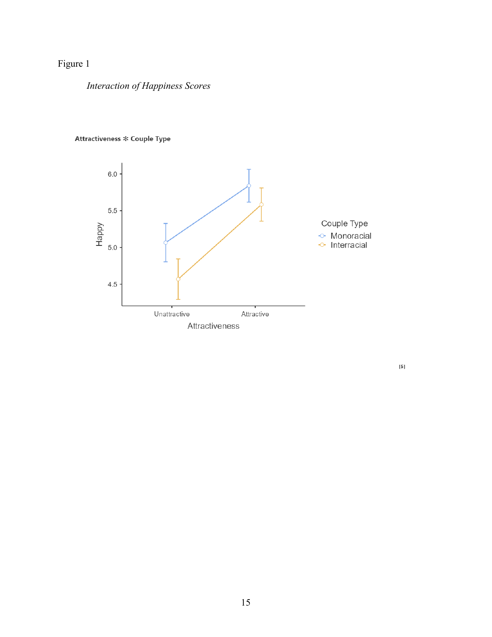## Figure 1

*Interaction of Happiness Scores*



### Attractiveness \* Couple Type

 $\left[5\right]$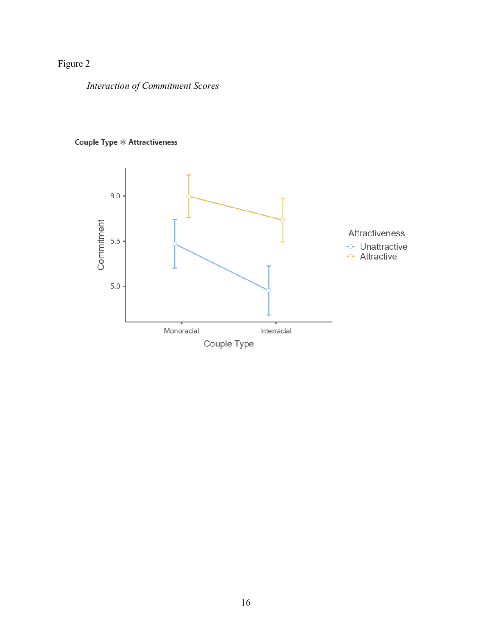## Figure 2

*Interaction of Commitment Scores*

### Couple Type \* Attractiveness